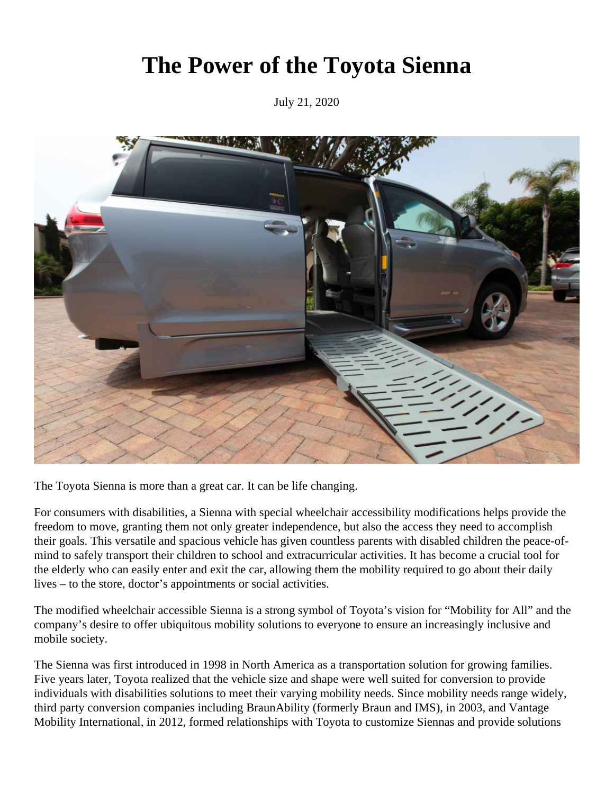## **The Power of the Toyota Sienna**

July 21, 2020



The Toyota Sienna is more than a great car. It can be life changing.

For consumers with disabilities, a Sienna with special wheelchair accessibility modifications helps provide the freedom to move, granting them not only greater independence, but also the access they need to accomplish their goals. This versatile and spacious vehicle has given countless parents with disabled children the peace-ofmind to safely transport their children to school and extracurricular activities. It has become a crucial tool for the elderly who can easily enter and exit the car, allowing them the mobility required to go about their daily lives – to the store, doctor's appointments or social activities.

The modified wheelchair accessible Sienna is a strong symbol of Toyota's vision for "Mobility for All" and the company's desire to offer ubiquitous mobility solutions to everyone to ensure an increasingly inclusive and mobile society.

The Sienna was first introduced in 1998 in North America as a transportation solution for growing families. Five years later, Toyota realized that the vehicle size and shape were well suited for conversion to provide individuals with disabilities solutions to meet their varying mobility needs. Since mobility needs range widely, third party conversion companies including BraunAbility (formerly Braun and IMS), in 2003, and Vantage Mobility International, in 2012, formed relationships with Toyota to customize Siennas and provide solutions